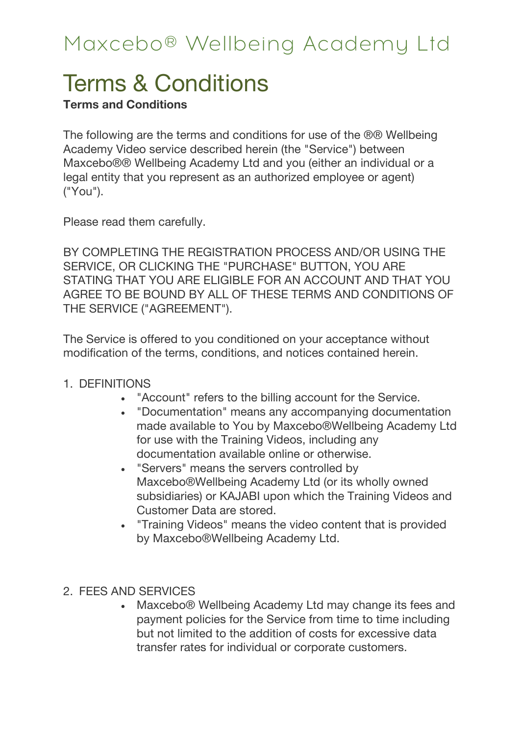# Terms & Conditions

#### **Terms and Conditions**

The following are the terms and conditions for use of the ®® Wellbeing Academy Video service described herein (the "Service") between Maxcebo®® Wellbeing Academy Ltd and you (either an individual or a legal entity that you represent as an authorized employee or agent) ("You").

Please read them carefully.

BY COMPLETING THE REGISTRATION PROCESS AND/OR USING THE SERVICE, OR CLICKING THE "PURCHASE" BUTTON, YOU ARE STATING THAT YOU ARE ELIGIBLE FOR AN ACCOUNT AND THAT YOU AGREE TO BE BOUND BY ALL OF THESE TERMS AND CONDITIONS OF THE SERVICE ("AGREEMENT").

The Service is offered to you conditioned on your acceptance without modification of the terms, conditions, and notices contained herein.

- 1. DEFINITIONS
	- "Account" refers to the billing account for the Service.
	- "Documentation" means any accompanying documentation made available to You by Maxcebo®Wellbeing Academy Ltd for use with the Training Videos, including any documentation available online or otherwise.
	- "Servers" means the servers controlled by Maxcebo®Wellbeing Academy Ltd (or its wholly owned subsidiaries) or KAJABI upon which the Training Videos and Customer Data are stored.
	- "Training Videos" means the video content that is provided by Maxcebo®Wellbeing Academy Ltd.
- 2. FEES AND SERVICES
	- Maxcebo® Wellbeing Academy Ltd may change its fees and payment policies for the Service from time to time including but not limited to the addition of costs for excessive data transfer rates for individual or corporate customers.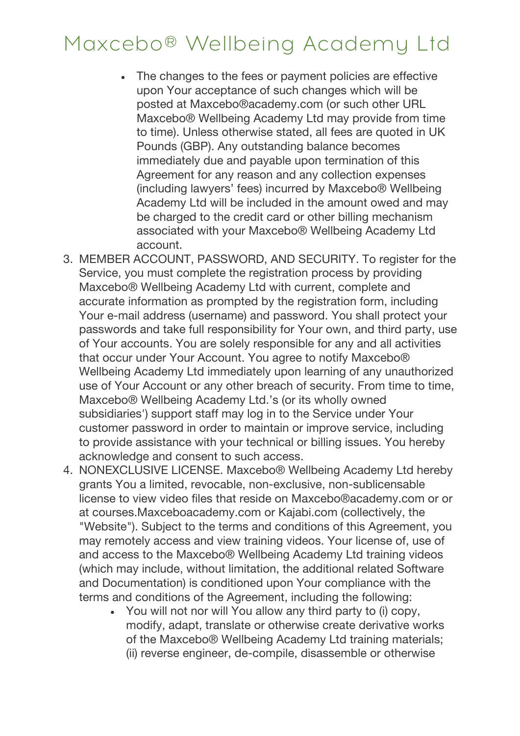- The changes to the fees or payment policies are effective upon Your acceptance of such changes which will be posted at Maxcebo®academy.com (or such other URL Maxcebo® Wellbeing Academy Ltd may provide from time to time). Unless otherwise stated, all fees are quoted in UK Pounds (GBP). Any outstanding balance becomes immediately due and payable upon termination of this Agreement for any reason and any collection expenses (including lawyers' fees) incurred by Maxcebo® Wellbeing Academy Ltd will be included in the amount owed and may be charged to the credit card or other billing mechanism associated with your Maxcebo® Wellbeing Academy Ltd account.
- 3. MEMBER ACCOUNT, PASSWORD, AND SECURITY. To register for the Service, you must complete the registration process by providing Maxcebo® Wellbeing Academy Ltd with current, complete and accurate information as prompted by the registration form, including Your e-mail address (username) and password. You shall protect your passwords and take full responsibility for Your own, and third party, use of Your accounts. You are solely responsible for any and all activities that occur under Your Account. You agree to notify Maxcebo® Wellbeing Academy Ltd immediately upon learning of any unauthorized use of Your Account or any other breach of security. From time to time, Maxcebo® Wellbeing Academy Ltd.'s (or its wholly owned subsidiaries') support staff may log in to the Service under Your customer password in order to maintain or improve service, including to provide assistance with your technical or billing issues. You hereby acknowledge and consent to such access.
- 4. NONEXCLUSIVE LICENSE. Maxcebo® Wellbeing Academy Ltd hereby grants You a limited, revocable, non-exclusive, non-sublicensable license to view video files that reside on Maxcebo®academy.com or or at courses.Maxceboacademy.com or Kajabi.com (collectively, the "Website"). Subject to the terms and conditions of this Agreement, you may remotely access and view training videos. Your license of, use of and access to the Maxcebo® Wellbeing Academy Ltd training videos (which may include, without limitation, the additional related Software and Documentation) is conditioned upon Your compliance with the terms and conditions of the Agreement, including the following:
	- You will not nor will You allow any third party to (i) copy, modify, adapt, translate or otherwise create derivative works of the Maxcebo® Wellbeing Academy Ltd training materials; (ii) reverse engineer, de-compile, disassemble or otherwise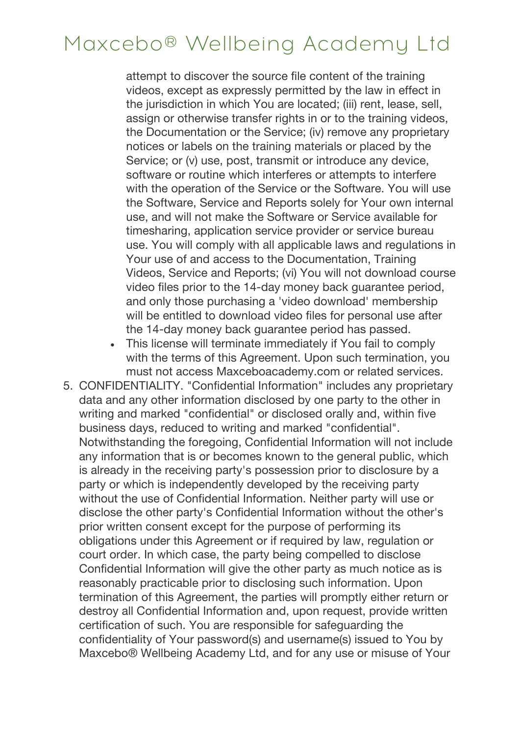attempt to discover the source file content of the training videos, except as expressly permitted by the law in effect in the jurisdiction in which You are located; (iii) rent, lease, sell, assign or otherwise transfer rights in or to the training videos, the Documentation or the Service; (iv) remove any proprietary notices or labels on the training materials or placed by the Service; or (v) use, post, transmit or introduce any device, software or routine which interferes or attempts to interfere with the operation of the Service or the Software. You will use the Software, Service and Reports solely for Your own internal use, and will not make the Software or Service available for timesharing, application service provider or service bureau use. You will comply with all applicable laws and regulations in Your use of and access to the Documentation, Training Videos, Service and Reports; (vi) You will not download course video files prior to the 14-day money back guarantee period, and only those purchasing a 'video download' membership will be entitled to download video files for personal use after the 14-day money back guarantee period has passed.

- This license will terminate immediately if You fail to comply with the terms of this Agreement. Upon such termination, you must not access Maxceboacademy.com or related services.
- 5. CONFIDENTIALITY. "Confidential Information" includes any proprietary data and any other information disclosed by one party to the other in writing and marked "confidential" or disclosed orally and, within five business days, reduced to writing and marked "confidential". Notwithstanding the foregoing, Confidential Information will not include any information that is or becomes known to the general public, which is already in the receiving party's possession prior to disclosure by a party or which is independently developed by the receiving party without the use of Confidential Information. Neither party will use or disclose the other party's Confidential Information without the other's prior written consent except for the purpose of performing its obligations under this Agreement or if required by law, regulation or court order. In which case, the party being compelled to disclose Confidential Information will give the other party as much notice as is reasonably practicable prior to disclosing such information. Upon termination of this Agreement, the parties will promptly either return or destroy all Confidential Information and, upon request, provide written certification of such. You are responsible for safeguarding the confidentiality of Your password(s) and username(s) issued to You by Maxcebo® Wellbeing Academy Ltd, and for any use or misuse of Your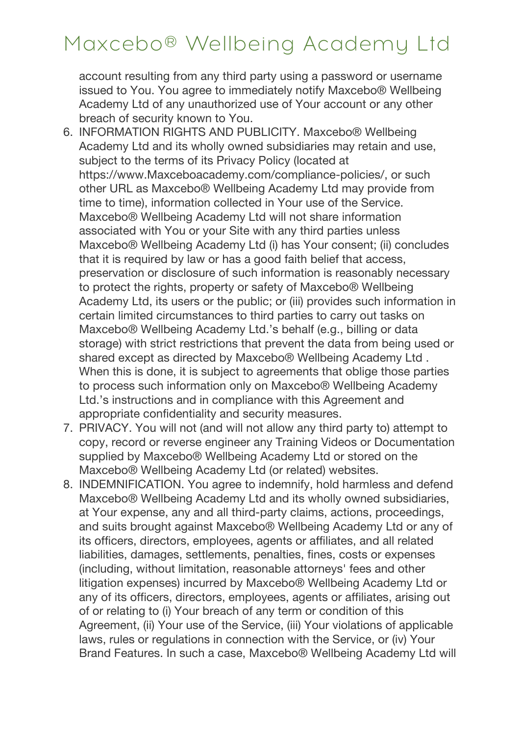account resulting from any third party using a password or username issued to You. You agree to immediately notify Maxcebo® Wellbeing Academy Ltd of any unauthorized use of Your account or any other breach of security known to You.

- 6. INFORMATION RIGHTS AND PUBLICITY. Maxcebo® Wellbeing Academy Ltd and its wholly owned subsidiaries may retain and use, subject to the terms of its Privacy Policy (located at https://www.Maxceboacademy.com/compliance-policies/, or such other URL as Maxcebo® Wellbeing Academy Ltd may provide from time to time), information collected in Your use of the Service. Maxcebo® Wellbeing Academy Ltd will not share information associated with You or your Site with any third parties unless Maxcebo® Wellbeing Academy Ltd (i) has Your consent; (ii) concludes that it is required by law or has a good faith belief that access, preservation or disclosure of such information is reasonably necessary to protect the rights, property or safety of Maxcebo® Wellbeing Academy Ltd, its users or the public; or (iii) provides such information in certain limited circumstances to third parties to carry out tasks on Maxcebo® Wellbeing Academy Ltd.'s behalf (e.g., billing or data storage) with strict restrictions that prevent the data from being used or shared except as directed by Maxcebo® Wellbeing Academy Ltd . When this is done, it is subject to agreements that oblige those parties to process such information only on Maxcebo® Wellbeing Academy Ltd.'s instructions and in compliance with this Agreement and appropriate confidentiality and security measures.
- 7. PRIVACY. You will not (and will not allow any third party to) attempt to copy, record or reverse engineer any Training Videos or Documentation supplied by Maxcebo® Wellbeing Academy Ltd or stored on the Maxcebo® Wellbeing Academy Ltd (or related) websites.
- 8. INDEMNIFICATION. You agree to indemnify, hold harmless and defend Maxcebo® Wellbeing Academy Ltd and its wholly owned subsidiaries, at Your expense, any and all third-party claims, actions, proceedings, and suits brought against Maxcebo® Wellbeing Academy Ltd or any of its officers, directors, employees, agents or affiliates, and all related liabilities, damages, settlements, penalties, fines, costs or expenses (including, without limitation, reasonable attorneys' fees and other litigation expenses) incurred by Maxcebo® Wellbeing Academy Ltd or any of its officers, directors, employees, agents or affiliates, arising out of or relating to (i) Your breach of any term or condition of this Agreement, (ii) Your use of the Service, (iii) Your violations of applicable laws, rules or regulations in connection with the Service, or (iv) Your Brand Features. In such a case, Maxcebo® Wellbeing Academy Ltd will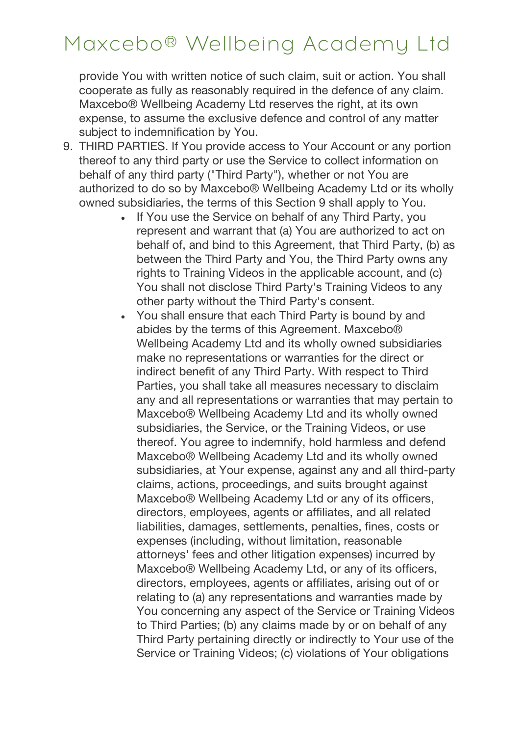provide You with written notice of such claim, suit or action. You shall cooperate as fully as reasonably required in the defence of any claim. Maxcebo® Wellbeing Academy Ltd reserves the right, at its own expense, to assume the exclusive defence and control of any matter subject to indemnification by You.

- 9. THIRD PARTIES. If You provide access to Your Account or any portion thereof to any third party or use the Service to collect information on behalf of any third party ("Third Party"), whether or not You are authorized to do so by Maxcebo® Wellbeing Academy Ltd or its wholly owned subsidiaries, the terms of this Section 9 shall apply to You.
	- If You use the Service on behalf of any Third Party, you represent and warrant that (a) You are authorized to act on behalf of, and bind to this Agreement, that Third Party, (b) as between the Third Party and You, the Third Party owns any rights to Training Videos in the applicable account, and (c) You shall not disclose Third Party's Training Videos to any other party without the Third Party's consent.
	- You shall ensure that each Third Party is bound by and abides by the terms of this Agreement. Maxcebo® Wellbeing Academy Ltd and its wholly owned subsidiaries make no representations or warranties for the direct or indirect benefit of any Third Party. With respect to Third Parties, you shall take all measures necessary to disclaim any and all representations or warranties that may pertain to Maxcebo® Wellbeing Academy Ltd and its wholly owned subsidiaries, the Service, or the Training Videos, or use thereof. You agree to indemnify, hold harmless and defend Maxcebo® Wellbeing Academy Ltd and its wholly owned subsidiaries, at Your expense, against any and all third-party claims, actions, proceedings, and suits brought against Maxcebo® Wellbeing Academy Ltd or any of its officers, directors, employees, agents or affiliates, and all related liabilities, damages, settlements, penalties, fines, costs or expenses (including, without limitation, reasonable attorneys' fees and other litigation expenses) incurred by Maxcebo® Wellbeing Academy Ltd, or any of its officers, directors, employees, agents or affiliates, arising out of or relating to (a) any representations and warranties made by You concerning any aspect of the Service or Training Videos to Third Parties; (b) any claims made by or on behalf of any Third Party pertaining directly or indirectly to Your use of the Service or Training Videos; (c) violations of Your obligations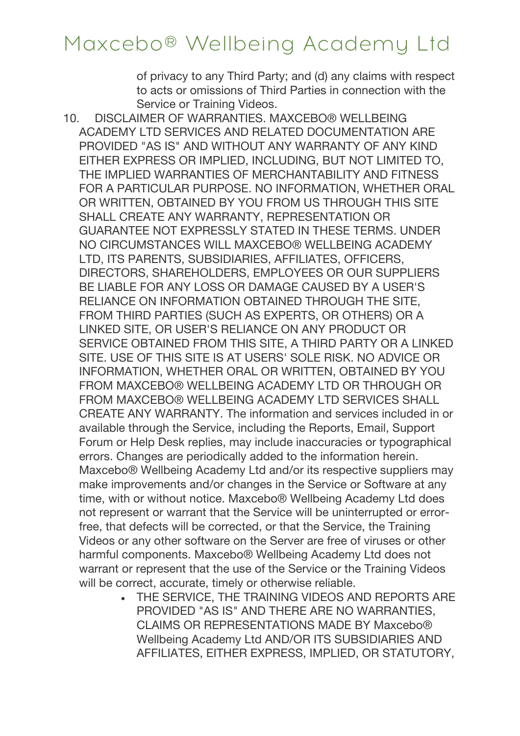of privacy to any Third Party; and (d) any claims with respect to acts or omissions of Third Parties in connection with the Service or Training Videos.

- 10. DISCLAIMER OF WARRANTIES. MAXCEBO® WELLBEING ACADEMY LTD SERVICES AND RELATED DOCUMENTATION ARE PROVIDED "AS IS" AND WITHOUT ANY WARRANTY OF ANY KIND EITHER EXPRESS OR IMPLIED, INCLUDING, BUT NOT LIMITED TO, THE IMPLIED WARRANTIES OF MERCHANTABILITY AND FITNESS FOR A PARTICULAR PURPOSE. NO INFORMATION, WHETHER ORAL OR WRITTEN, OBTAINED BY YOU FROM US THROUGH THIS SITE SHALL CREATE ANY WARRANTY, REPRESENTATION OR GUARANTEE NOT EXPRESSLY STATED IN THESE TERMS. UNDER NO CIRCUMSTANCES WILL MAXCEBO® WELLBEING ACADEMY LTD, ITS PARENTS, SUBSIDIARIES, AFFILIATES, OFFICERS, DIRECTORS, SHAREHOLDERS, EMPLOYEES OR OUR SUPPLIERS BE LIABLE FOR ANY LOSS OR DAMAGE CAUSED BY A USER'S RELIANCE ON INFORMATION OBTAINED THROUGH THE SITE, FROM THIRD PARTIES (SUCH AS EXPERTS, OR OTHERS) OR A LINKED SITE, OR USER'S RELIANCE ON ANY PRODUCT OR SERVICE OBTAINED FROM THIS SITE, A THIRD PARTY OR A LINKED SITE. USE OF THIS SITE IS AT USERS' SOLE RISK. NO ADVICE OR INFORMATION, WHETHER ORAL OR WRITTEN, OBTAINED BY YOU FROM MAXCEBO® WELLBEING ACADEMY LTD OR THROUGH OR FROM MAXCEBO® WELLBEING ACADEMY LTD SERVICES SHALL CREATE ANY WARRANTY. The information and services included in or available through the Service, including the Reports, Email, Support Forum or Help Desk replies, may include inaccuracies or typographical errors. Changes are periodically added to the information herein. Maxcebo® Wellbeing Academy Ltd and/or its respective suppliers may make improvements and/or changes in the Service or Software at any time, with or without notice. Maxcebo® Wellbeing Academy Ltd does not represent or warrant that the Service will be uninterrupted or errorfree, that defects will be corrected, or that the Service, the Training Videos or any other software on the Server are free of viruses or other harmful components. Maxcebo® Wellbeing Academy Ltd does not warrant or represent that the use of the Service or the Training Videos will be correct, accurate, timely or otherwise reliable.
	- THE SERVICE, THE TRAINING VIDEOS AND REPORTS ARE PROVIDED "AS IS" AND THERE ARE NO WARRANTIES, CLAIMS OR REPRESENTATIONS MADE BY Maxcebo® Wellbeing Academy Ltd AND/OR ITS SUBSIDIARIES AND AFFILIATES, EITHER EXPRESS, IMPLIED, OR STATUTORY,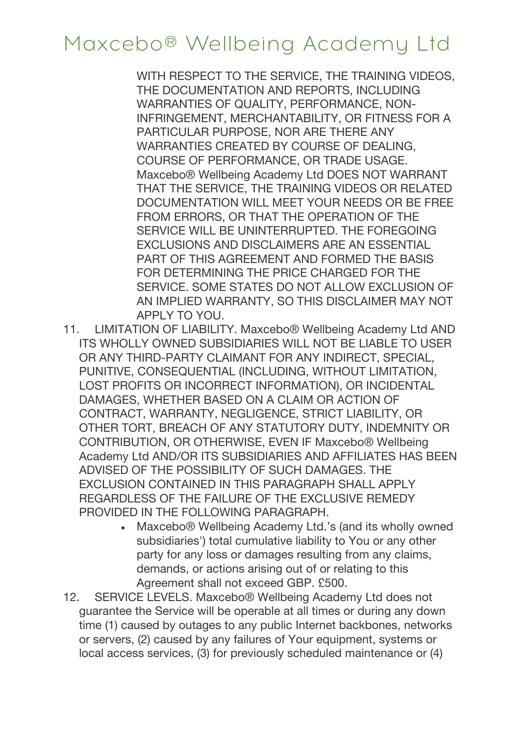WITH RESPECT TO THE SERVICE, THE TRAINING VIDEOS, THE DOCUMENTATION AND REPORTS, INCLUDING WARRANTIES OF QUALITY, PERFORMANCE, NON-INFRINGEMENT, MERCHANTABILITY, OR FITNESS FOR A PARTICULAR PURPOSE, NOR ARE THERE ANY WARRANTIES CREATED BY COURSE OF DEALING, COURSE OF PERFORMANCE, OR TRADE USAGE. Maxcebo® Wellbeing Academy Ltd DOES NOT WARRANT THAT THE SERVICE, THE TRAINING VIDEOS OR RELATED DOCUMENTATION WILL MEET YOUR NEEDS OR BE FREE FROM ERRORS, OR THAT THE OPERATION OF THE SERVICE WILL BE UNINTERRUPTED. THE FOREGOING EXCLUSIONS AND DISCLAIMERS ARE AN ESSENTIAL PART OF THIS AGREEMENT AND FORMED THE BASIS FOR DETERMINING THE PRICE CHARGED FOR THE SERVICE. SOME STATES DO NOT ALLOW EXCLUSION OF AN IMPLIED WARRANTY, SO THIS DISCLAIMER MAY NOT APPLY TO YOU.

- 11. LIMITATION OF LIABILITY. Maxcebo® Wellbeing Academy Ltd AND ITS WHOLLY OWNED SUBSIDIARIES WILL NOT BE LIABLE TO USER OR ANY THIRD-PARTY CLAIMANT FOR ANY INDIRECT, SPECIAL, PUNITIVE, CONSEQUENTIAL (INCLUDING, WITHOUT LIMITATION, LOST PROFITS OR INCORRECT INFORMATION), OR INCIDENTAL DAMAGES, WHETHER BASED ON A CLAIM OR ACTION OF CONTRACT, WARRANTY, NEGLIGENCE, STRICT LIABILITY, OR OTHER TORT, BREACH OF ANY STATUTORY DUTY, INDEMNITY OR CONTRIBUTION, OR OTHERWISE, EVEN IF Maxcebo® Wellbeing Academy Ltd AND/OR ITS SUBSIDIARIES AND AFFILIATES HAS BEEN ADVISED OF THE POSSIBILITY OF SUCH DAMAGES. THE EXCLUSION CONTAINED IN THIS PARAGRAPH SHALL APPLY REGARDLESS OF THE FAILURE OF THE EXCLUSIVE REMEDY PROVIDED IN THE FOLLOWING PARAGRAPH.
	- Maxcebo® Wellbeing Academy Ltd.'s (and its wholly owned subsidiaries') total cumulative liability to You or any other party for any loss or damages resulting from any claims, demands, or actions arising out of or relating to this Agreement shall not exceed GBP. £500.
- 12. SERVICE LEVELS. Maxcebo® Wellbeing Academy Ltd does not guarantee the Service will be operable at all times or during any down time (1) caused by outages to any public Internet backbones, networks or servers, (2) caused by any failures of Your equipment, systems or local access services, (3) for previously scheduled maintenance or (4)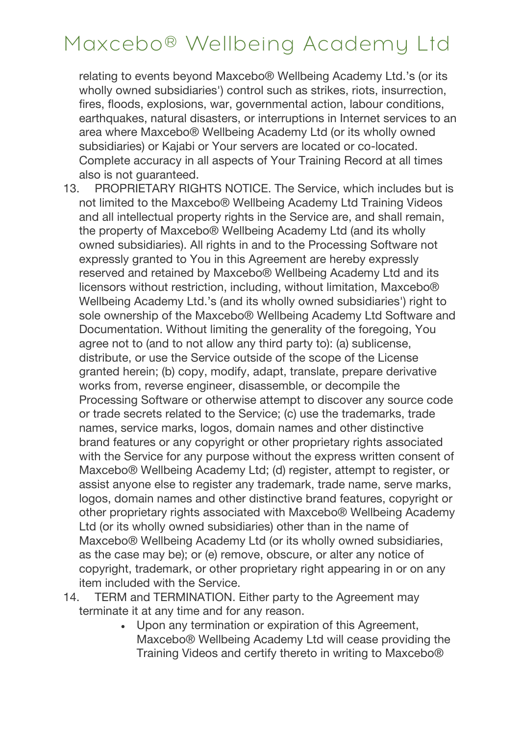relating to events beyond Maxcebo® Wellbeing Academy Ltd.'s (or its wholly owned subsidiaries') control such as strikes, riots, insurrection, fires, floods, explosions, war, governmental action, labour conditions, earthquakes, natural disasters, or interruptions in Internet services to an area where Maxcebo® Wellbeing Academy Ltd (or its wholly owned subsidiaries) or Kajabi or Your servers are located or co-located. Complete accuracy in all aspects of Your Training Record at all times also is not guaranteed.

- 13. PROPRIETARY RIGHTS NOTICE. The Service, which includes but is not limited to the Maxcebo® Wellbeing Academy Ltd Training Videos and all intellectual property rights in the Service are, and shall remain, the property of Maxcebo® Wellbeing Academy Ltd (and its wholly owned subsidiaries). All rights in and to the Processing Software not expressly granted to You in this Agreement are hereby expressly reserved and retained by Maxcebo® Wellbeing Academy Ltd and its licensors without restriction, including, without limitation, Maxcebo® Wellbeing Academy Ltd.'s (and its wholly owned subsidiaries') right to sole ownership of the Maxcebo® Wellbeing Academy Ltd Software and Documentation. Without limiting the generality of the foregoing, You agree not to (and to not allow any third party to): (a) sublicense, distribute, or use the Service outside of the scope of the License granted herein; (b) copy, modify, adapt, translate, prepare derivative works from, reverse engineer, disassemble, or decompile the Processing Software or otherwise attempt to discover any source code or trade secrets related to the Service; (c) use the trademarks, trade names, service marks, logos, domain names and other distinctive brand features or any copyright or other proprietary rights associated with the Service for any purpose without the express written consent of Maxcebo® Wellbeing Academy Ltd; (d) register, attempt to register, or assist anyone else to register any trademark, trade name, serve marks, logos, domain names and other distinctive brand features, copyright or other proprietary rights associated with Maxcebo® Wellbeing Academy Ltd (or its wholly owned subsidiaries) other than in the name of Maxcebo® Wellbeing Academy Ltd (or its wholly owned subsidiaries, as the case may be); or (e) remove, obscure, or alter any notice of copyright, trademark, or other proprietary right appearing in or on any item included with the Service.
- 14. TERM and TERMINATION. Either party to the Agreement may terminate it at any time and for any reason.
	- Upon any termination or expiration of this Agreement, Maxcebo® Wellbeing Academy Ltd will cease providing the Training Videos and certify thereto in writing to Maxcebo®